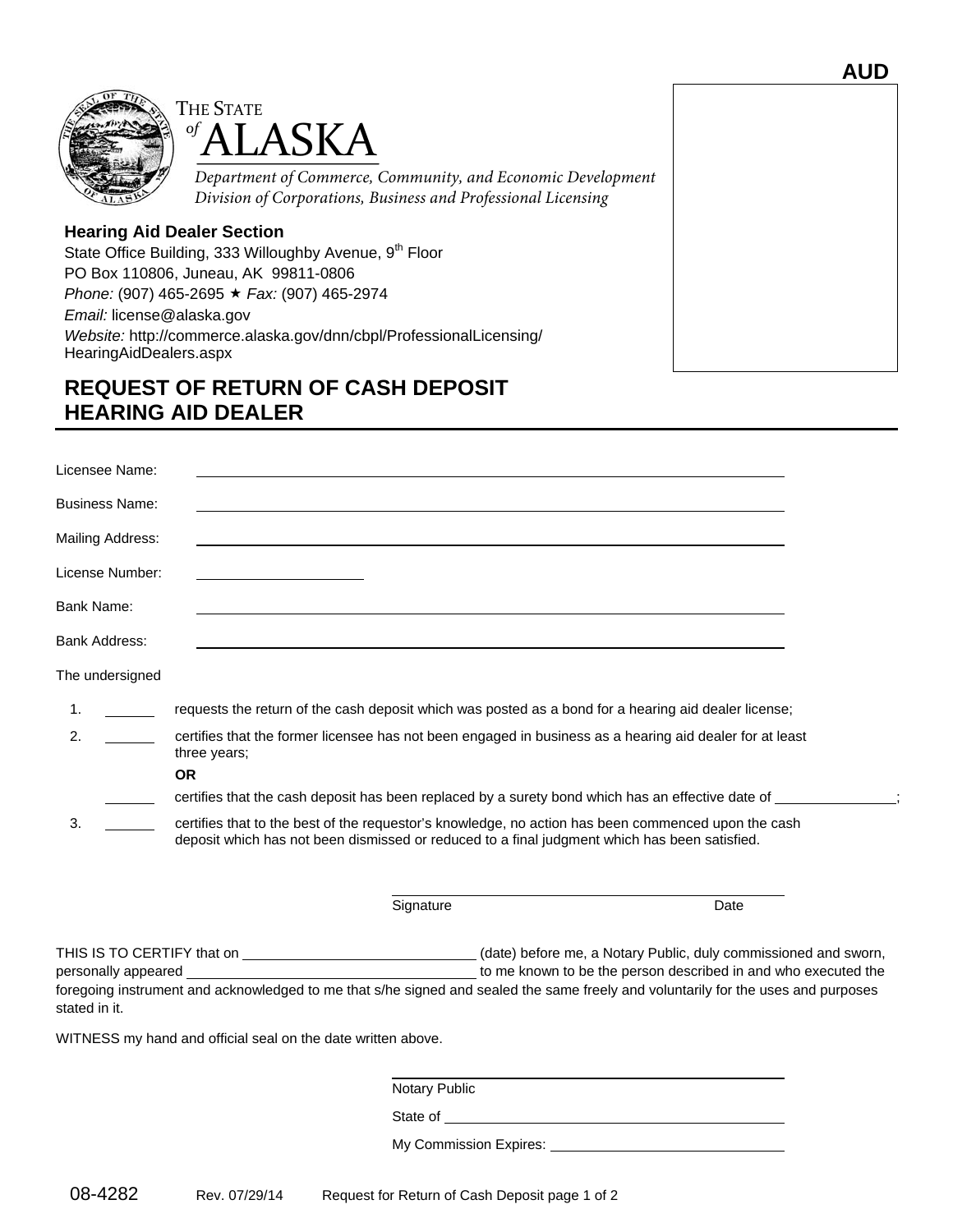



*Department of Commerce, Community, and Economic Development Division of Corporations, Business and Professional Licensing* 

## **Hearing Aid Dealer Section**

State Office Building, 333 Willoughby Avenue, 9<sup>th</sup> Floor PO Box 110806, Juneau, AK 99811-0806 *Phone:* (907) 465-2695 *Fax:* (907) 465-2974 *Email:* license@alaska.gov *Website:* http://commerce.alaska.gov/dnn/cbpl/ProfessionalLicensing/ HearingAidDealers.aspx

## **REQUEST OF RETURN OF CASH DEPOSIT HEARING AID DEALER**

| Licensee Name:                                                                                                                                                                                                                                                                                                                                     |                                                              |                                                                                                      |  |
|----------------------------------------------------------------------------------------------------------------------------------------------------------------------------------------------------------------------------------------------------------------------------------------------------------------------------------------------------|--------------------------------------------------------------|------------------------------------------------------------------------------------------------------|--|
| Business Name:                                                                                                                                                                                                                                                                                                                                     |                                                              |                                                                                                      |  |
| Mailing Address:                                                                                                                                                                                                                                                                                                                                   |                                                              |                                                                                                      |  |
| License Number:                                                                                                                                                                                                                                                                                                                                    |                                                              |                                                                                                      |  |
| Bank Name:                                                                                                                                                                                                                                                                                                                                         |                                                              |                                                                                                      |  |
| Bank Address:                                                                                                                                                                                                                                                                                                                                      |                                                              |                                                                                                      |  |
| The undersigned                                                                                                                                                                                                                                                                                                                                    |                                                              |                                                                                                      |  |
| 1.                                                                                                                                                                                                                                                                                                                                                 |                                                              | requests the return of the cash deposit which was posted as a bond for a hearing aid dealer license; |  |
| 2.<br>certifies that the former licensee has not been engaged in business as a hearing aid dealer for at least<br>three years;                                                                                                                                                                                                                     |                                                              |                                                                                                      |  |
|                                                                                                                                                                                                                                                                                                                                                    | <b>OR</b>                                                    |                                                                                                      |  |
|                                                                                                                                                                                                                                                                                                                                                    |                                                              | certifies that the cash deposit has been replaced by a surety bond which has an effective date of    |  |
| 3.<br>certifies that to the best of the requestor's knowledge, no action has been commenced upon the cash<br>deposit which has not been dismissed or reduced to a final judgment which has been satisfied.                                                                                                                                         |                                                              |                                                                                                      |  |
|                                                                                                                                                                                                                                                                                                                                                    | Signature                                                    | Date                                                                                                 |  |
| THIS IS TO CERTIFY that on ________________________________(date) before me, a Notary Public, duly commissioned and sworn,<br>to me known to be the person described in and who executed the<br>foregoing instrument and acknowledged to me that s/he signed and sealed the same freely and voluntarily for the uses and purposes<br>stated in it. |                                                              |                                                                                                      |  |
|                                                                                                                                                                                                                                                                                                                                                    | WITNESS my hand and official seal on the date written above. |                                                                                                      |  |
|                                                                                                                                                                                                                                                                                                                                                    |                                                              |                                                                                                      |  |
|                                                                                                                                                                                                                                                                                                                                                    | Notary Public                                                |                                                                                                      |  |
|                                                                                                                                                                                                                                                                                                                                                    |                                                              |                                                                                                      |  |
|                                                                                                                                                                                                                                                                                                                                                    |                                                              |                                                                                                      |  |
|                                                                                                                                                                                                                                                                                                                                                    |                                                              |                                                                                                      |  |